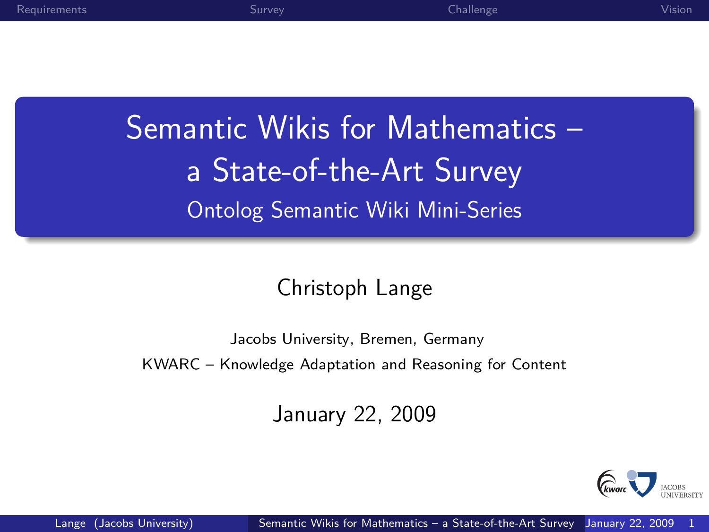# Semantic Wikis for Mathematics – a State-of-the-Art Survey Ontolog Semantic Wiki Mini-Series

### Christoph Lange

### [Jacobs University,](http://www.jacobs-university.de) Bremen, Germany [KWARC – Knowledge Adaptation and Reasoning for Content](http://kwarc.info)

### January 22, 2009

<span id="page-0-0"></span>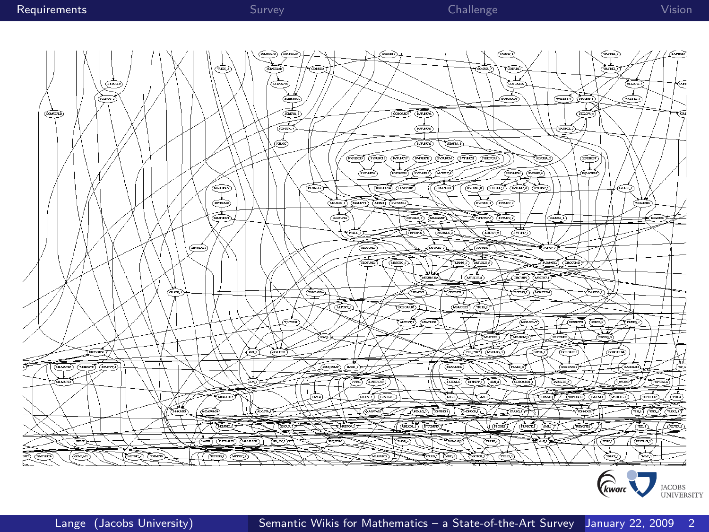

<span id="page-1-0"></span>Lange (Jacobs University) [Semantic Wikis for Mathematics – a State-of-the-Art Survey](#page-0-0) January 22, 2009 2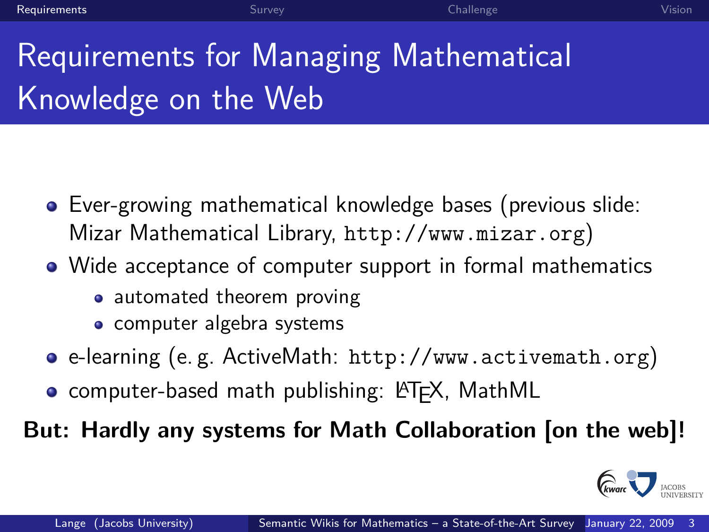# Requirements for Managing Mathematical Knowledge on the Web

- Ever-growing mathematical knowledge bases (previous slide: Mizar Mathematical Library, <http://www.mizar.org>)
- Wide acceptance of computer support in formal mathematics
	- automated theorem proving
	- computer algebra systems
- e-learning (e. g. ActiveMath: <http://www.activemath.org>)
- $\bullet$  computer-based math publishing: LAT<sub>E</sub>X, MathML

### **But: Hardly any systems for Math Collaboration [on the web]!**

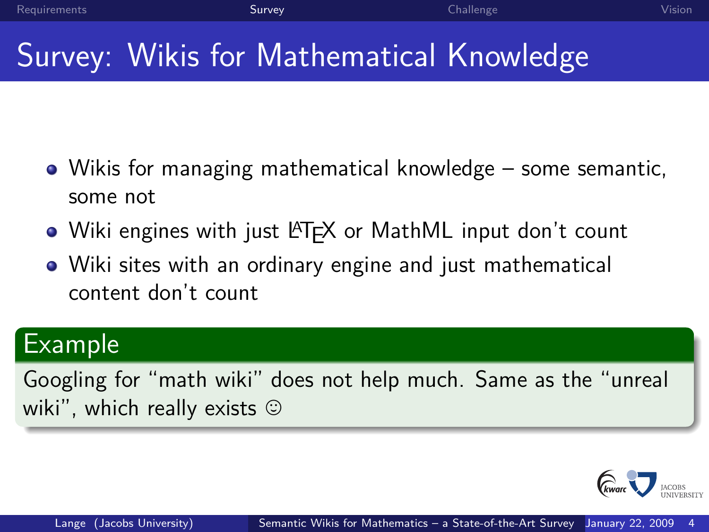## Survey: Wikis for Mathematical Knowledge

- Wikis for managing mathematical knowledge some semantic, some not
- Wiki engines with just LATEX or MathML input don't count
- Wiki sites with an ordinary engine and just mathematical content don't count

### Example

Googling for "math wiki" does not help much. Same as the "unreal wiki", which really exists  $\odot$ 

<span id="page-3-0"></span>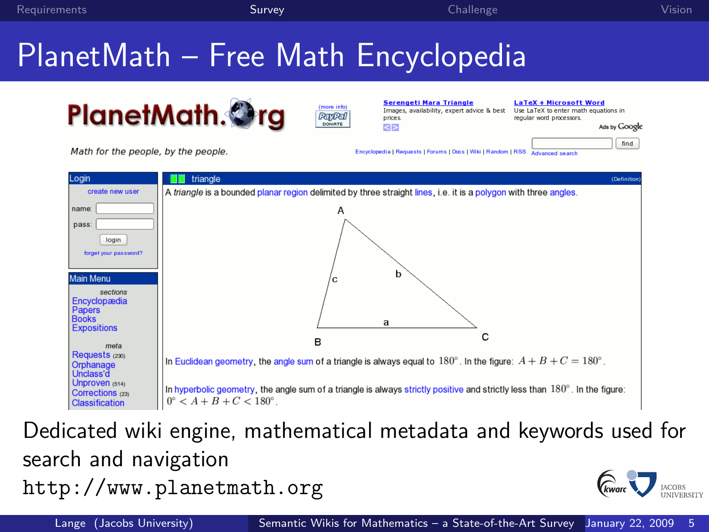# PlanetMath – Free Math Encyclopedia



Dedicated wiki engine, mathematical metadata and keywords used for search and navigation <http://www.planetmath.org>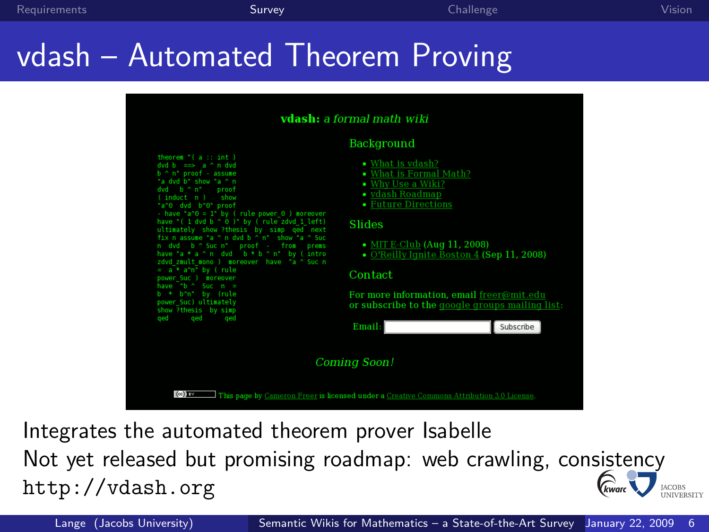### vdash – Automated Theorem Proving



Integrates the automated theorem prover Isabelle Not yet released but promising roadmap: web crawling, con[sist](http://kwarc.info)[ency](http://www.jacobs-university.de) <http://vdash.org>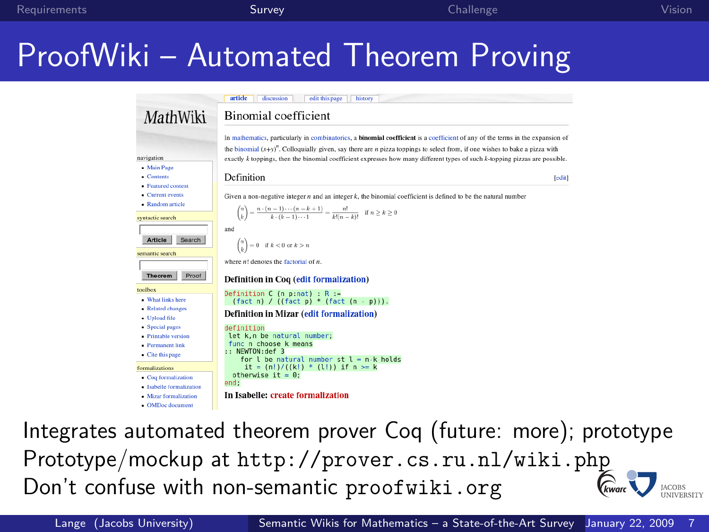## ProofWiki – Automated Theorem Proving

| MathWiki                                 | Binomial coefficient                                                                                                                                                                                                                                                                                                                                                                                              |  |  |  |  |  |
|------------------------------------------|-------------------------------------------------------------------------------------------------------------------------------------------------------------------------------------------------------------------------------------------------------------------------------------------------------------------------------------------------------------------------------------------------------------------|--|--|--|--|--|
| navigation<br>- Main Page<br>$C$ ontents | In mathematics, particularly in combinatorics, a binomial coefficient is a coefficient of any of the terms in the expansion of<br>the binomial $(x+y)$ <sup>n</sup> . Colloquially given, say there are <i>n</i> pizza toppings to select from, if one wishes to bake a pizza with<br>exactly k toppings, then the binomial coefficient expresses how many different types of such k-topping pizzas are possible. |  |  |  |  |  |
| <b>Featured</b> content                  | Definition<br>[edit]                                                                                                                                                                                                                                                                                                                                                                                              |  |  |  |  |  |
| Current events                           | Given a non-negative integer $n$ and an integer $k$ , the binomial coefficient is defined to be the natural number                                                                                                                                                                                                                                                                                                |  |  |  |  |  |
| · Random article                         |                                                                                                                                                                                                                                                                                                                                                                                                                   |  |  |  |  |  |
| syntactic search                         | $\binom{n}{k} = \frac{n \cdot (n-1) \cdots (n-k+1)}{k \cdot (k-1) \cdots 1} = \frac{n!}{k!(n-k)!}$ if $n \ge k \ge 0$                                                                                                                                                                                                                                                                                             |  |  |  |  |  |
|                                          | and                                                                                                                                                                                                                                                                                                                                                                                                               |  |  |  |  |  |
| Article<br>Search                        | $\binom{n}{k} = 0$ if $k < 0$ or $k > n$                                                                                                                                                                                                                                                                                                                                                                          |  |  |  |  |  |
| semantic search                          |                                                                                                                                                                                                                                                                                                                                                                                                                   |  |  |  |  |  |
|                                          | where $n!$ denotes the factorial of $n$ .                                                                                                                                                                                                                                                                                                                                                                         |  |  |  |  |  |
| Proof<br><b>Theorem</b>                  | <b>Definition in Coq (edit formalization)</b>                                                                                                                                                                                                                                                                                                                                                                     |  |  |  |  |  |
| toolbox                                  | Definition $C(n p:nat) : R :=$                                                                                                                                                                                                                                                                                                                                                                                    |  |  |  |  |  |
| - What links here                        | $(fact n) / ((fact p) * (fact (n - p))).$                                                                                                                                                                                                                                                                                                                                                                         |  |  |  |  |  |
| - Related changes                        | <b>Definition in Mizar (edit formalization)</b>                                                                                                                                                                                                                                                                                                                                                                   |  |  |  |  |  |
| • Upload file<br>- Special pages         |                                                                                                                                                                                                                                                                                                                                                                                                                   |  |  |  |  |  |
| · Printable version                      | definition<br>let k,n be natural number:                                                                                                                                                                                                                                                                                                                                                                          |  |  |  |  |  |
| <b>Permanent link</b>                    | func n choose k means                                                                                                                                                                                                                                                                                                                                                                                             |  |  |  |  |  |
| - Cite this page                         | :: NEWTON:def 3                                                                                                                                                                                                                                                                                                                                                                                                   |  |  |  |  |  |
| formalizations                           | for $l$ be natural number st $l = n - k$ holds<br>it = $(n!)/(((k!) * (1!))$ if n >= k                                                                                                                                                                                                                                                                                                                            |  |  |  |  |  |
| - Coa formalization                      | otherwise it = $\theta$ ;                                                                                                                                                                                                                                                                                                                                                                                         |  |  |  |  |  |
| <b>Isobelle formalization</b>            | end:                                                                                                                                                                                                                                                                                                                                                                                                              |  |  |  |  |  |
| • Mizar formalization                    | In Isabelle: create formalization                                                                                                                                                                                                                                                                                                                                                                                 |  |  |  |  |  |
| <b>OMDoc</b> document                    |                                                                                                                                                                                                                                                                                                                                                                                                                   |  |  |  |  |  |

Integrates automated theorem prover Coq (future: more); prototype Prototype/mockup at <http://prover.cs.ru.nl/wiki.php> Don't confuse with non-semantic proofwiki.org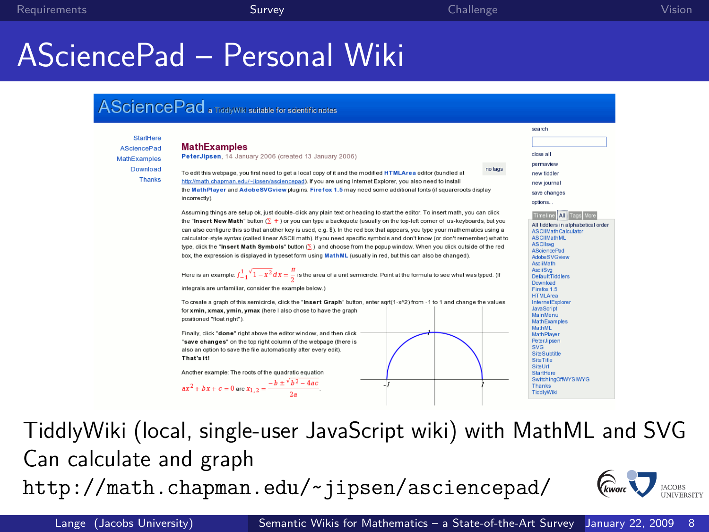### ASciencePad – Personal Wiki

### ASciencePad a TiddlyWiki suitable for scientific notes

StartHere ASciencePad MathExamples Download Thanks

#### **MathExamples**

PeterJipsen, 14 January 2006 (created 13 January 2006)

no tags To edit this webpage, you first need to get a local copy of it and the modified HTMLArea editor (bundled at http://math.chapman.edu/~jipsen/asciencepad). If you are using Internet Explorer, you also need to install the MathPlayer and AdobeSVGview plugins. Firefox 1.5 may need some additional fonts (if squareroots display incorrectly).

Assuming things are setup ok, just double-click any plain text or heading to start the editor. To insert math, you can click the "Insert New Math" button  $($   $\leq$  +  $)$  or you can type a backquote (usually on the top-left corner of us-keyboards, but you can also configure this so that another key is used, e.g. \$). In the red box that appears, you type your mathematics using a calculator-style syntax (called linear ASCII math). If you need specific symbols and don't know (or don't remember) what to type, click the "Insert Math Symbols" button (S.) and choose from the popup window. When you click outside of the red box, the expression is displayed in typeset form using MathML (usually in red, but this can also be changed).

Here is an example:  $\int_{-1}^{1} \sqrt{1-x^2} dx = \frac{\pi}{\pi}$  is the area of a unit semicircle. Point at the formula to see what was typed. (If

integrals are unfamiliar, consider the example below.)

To create a graph of this semicircle, click the "Insert Graph" button, enter sqrt(1-x\*2) from -1 to 1 and change the values for xmin, xmax, ymin, ymax (here I also chose to have the graph positioned "float right").

Finally, click "done" right above the editor window, and then click "save changes" on the top right column of the webpage (there is also an option to save the file automatically after every edit) That's it!

Another example: The roots of the quadratic equation

 $ax^2 + bx + c = 0$  are  $x_{1,2} = \frac{-b \pm \sqrt{b^2 - 4ac}}{2a}$ 



search

**SiteTitle** Sitellid Charlidare SwitchingOffWYSIWYG Thanks TiddlyWiki

TiddlyWiki (local, single-user JavaScript wiki) with MathML and SVG Can calculate and graph <http://math.chapman.edu/~jipsen/asciencepad/>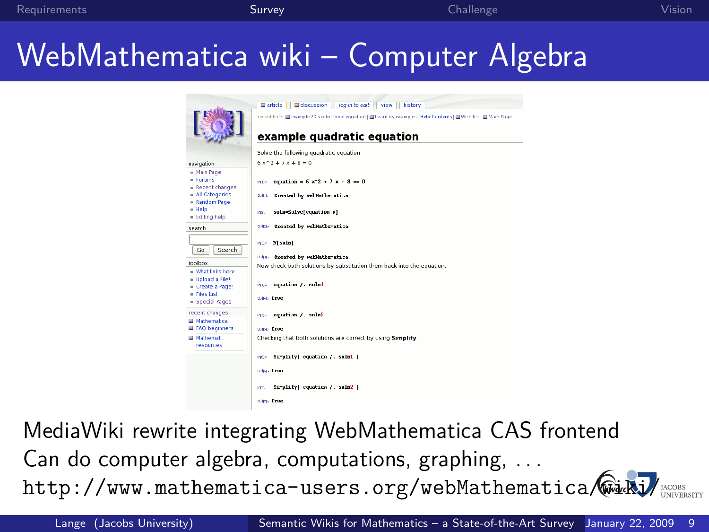### WebMathematica wiki – Computer Algebra



MediaWiki rewrite integrating WebMathematica CAS frontend Can do computer algebra, computations, graphing, . . . http://www.mathematica-users.org/webMathematica/Wiki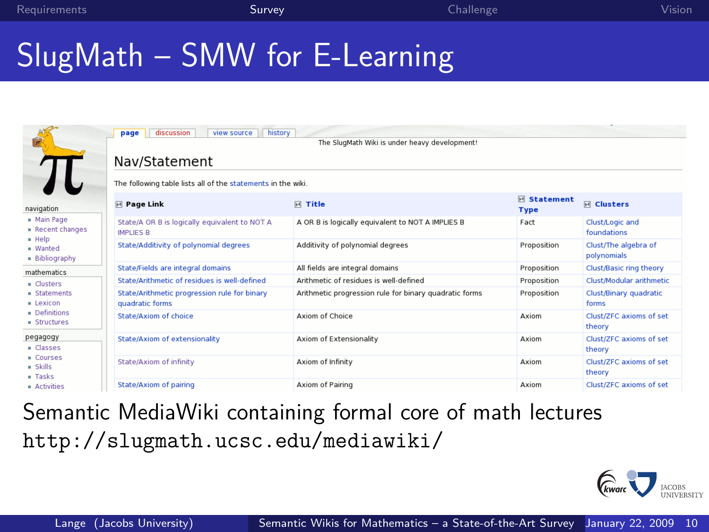## SlugMath – SMW for E-Learning

|                                                                                                  | discussion<br>history<br>view source<br>page                    | The SlugMath Wiki is under heavy development!          |                                   |                                     |  |  |  |  |  |
|--------------------------------------------------------------------------------------------------|-----------------------------------------------------------------|--------------------------------------------------------|-----------------------------------|-------------------------------------|--|--|--|--|--|
|                                                                                                  | Nav/Statement                                                   |                                                        |                                   |                                     |  |  |  |  |  |
|                                                                                                  | The following table lists all of the statements in the wiki.    |                                                        |                                   |                                     |  |  |  |  |  |
| navigation                                                                                       | <b>⊠</b> Page Link                                              | <b>M</b> Title                                         | <b>⊠ Statement</b><br><b>Type</b> | $M$ Clusters                        |  |  |  |  |  |
| · Main Page<br>Recent changes<br>- Help<br>. Wanted<br>- Bibliography                            | State/A OR B is logically equivalent to NOT A<br>IMPLIES B      | A OR B is logically equivalent to NOT A IMPLIES B      | Fact                              | Clust/Logic and<br>foundations      |  |  |  |  |  |
|                                                                                                  | State/Additivity of polynomial degrees                          | Additivity of polynomial degrees                       | Proposition                       | Clust/The algebra of<br>polynomials |  |  |  |  |  |
| mathematics                                                                                      | State/Fields are integral domains                               | All fields are integral domains                        | Proposition                       | Clust/Basic ring theory             |  |  |  |  |  |
| <b>Clusters</b><br><b>Statements</b><br><b>I</b> Lexicon<br>· Definitions<br><b>B</b> Structures | State/Arithmetic of residues is well-defined                    | Arithmetic of residues is well-defined                 | Proposition                       | <b>Clust/Modular arithmetic</b>     |  |  |  |  |  |
|                                                                                                  | State/Arithmetic progression rule for binary<br>quadratic forms | Arithmetic progression rule for binary quadratic forms | Proposition                       | Clust/Binary quadratic<br>forms     |  |  |  |  |  |
|                                                                                                  | <b>State/Axiom of choice</b>                                    | Axiom of Choice                                        | Axiom                             | Clust/ZFC axioms of set<br>theory   |  |  |  |  |  |
| pegagogy<br><b>Classes</b><br><b>Courses</b><br>$s$ Skills<br><b>a</b> Tasks                     | <b>State/Axiom of extensionality</b>                            | Axiom of Extensionality                                | Axiom                             | Clust/ZFC axioms of set<br>theory   |  |  |  |  |  |
|                                                                                                  | <b>State/Axiom of infinity</b>                                  | Axiom of Infinity                                      | Axiom                             | Clust/ZFC axioms of set<br>theory   |  |  |  |  |  |
| · Activities                                                                                     | <b>State/Axiom of pairing</b>                                   | Axiom of Pairing                                       | Axiom                             | Clust/ZFC axioms of set             |  |  |  |  |  |

Semantic MediaWiki containing formal core of math lectures <http://slugmath.ucsc.edu/mediawiki/>

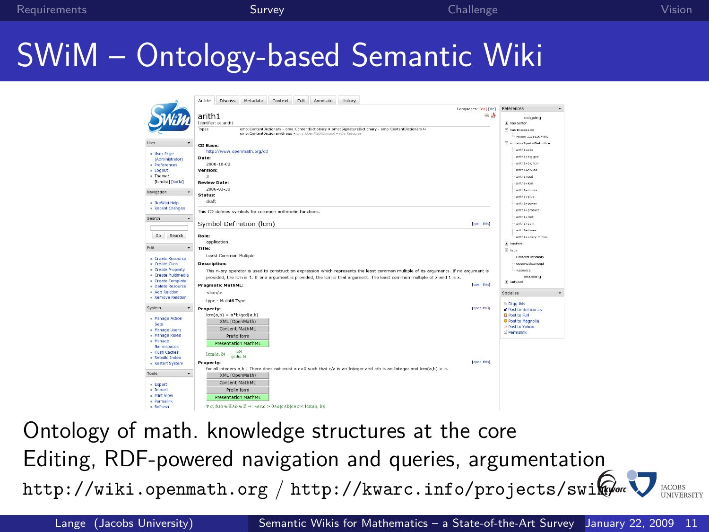### SWiM – Ontology-based Semantic Wiki

|                                                                                                                                                                  | Article<br>Discuss                                                                                                                                                                                                 | Metadata    | Context | Ddit. | Annotate | History |                                                                                                                                                                                                                                                                    |                                                                                                                                     |                                                 |            |                                                                                                                                                                                                                        |  |
|------------------------------------------------------------------------------------------------------------------------------------------------------------------|--------------------------------------------------------------------------------------------------------------------------------------------------------------------------------------------------------------------|-------------|---------|-------|----------|---------|--------------------------------------------------------------------------------------------------------------------------------------------------------------------------------------------------------------------------------------------------------------------|-------------------------------------------------------------------------------------------------------------------------------------|-------------------------------------------------|------------|------------------------------------------------------------------------------------------------------------------------------------------------------------------------------------------------------------------------|--|
|                                                                                                                                                                  |                                                                                                                                                                                                                    |             |         |       |          |         |                                                                                                                                                                                                                                                                    |                                                                                                                                     | Languages: Feel (de)                            | References |                                                                                                                                                                                                                        |  |
|                                                                                                                                                                  | arith1<br>Identifier: cd:arith1<br>Types<br>omo:ContentDictionary - omo:ContentDictionary # on:a:SignatureDictionary - oma:ContentDictionary #<br>ome:ContentNctionaryGroup - ana:Constitutioncept - rats:Aesource |             |         |       |          |         |                                                                                                                                                                                                                                                                    | es de                                                                                                                               | outgoing<br>[4] has author<br>Fl has Discussion |            |                                                                                                                                                                                                                        |  |
| <b>Jerc</b><br>. User Page<br>(Administrator)<br>· Preferences<br>- Logout<br>· Theme:<br>[tundra] [soria]<br>Nevigation<br>. Don't bit Help<br>- Recent Changes | CD Base:<br>http://www.coenmath.org/od<br>Date:<br>2008-10-02<br>Version:<br>$\alpha$<br><b>Review Date:</b><br>2006-03-30<br>Status:<br>draft<br>This CD defines symbols for common arithmetic functions.         |             |         |       |          |         |                                                                                                                                                                                                                                                                    |                                                                                                                                     |                                                 |            | Frauer: 11/01/07/08<br>E contensivebellufinitien<br>area suaha<br>arrill 1+000 ocd<br>artha+bia lcm<br>attravelven<br>arregione<br>artistician.<br>arthlaning<br>arth3+plus<br>arth3+open<br>artho-orated<br>$AT2-000$ |  |
| Search                                                                                                                                                           | Symbol Definition (Icm)                                                                                                                                                                                            |             |         |       |          |         |                                                                                                                                                                                                                                                                    |                                                                                                                                     | Dreen third                                     |            | arth3+ssm                                                                                                                                                                                                              |  |
| Search<br>Go                                                                                                                                                     | Role:<br>application                                                                                                                                                                                               |             |         |       |          |         |                                                                                                                                                                                                                                                                    |                                                                                                                                     |                                                 | al handwid | <b>MANUFACTURERS</b><br>article and mines.                                                                                                                                                                             |  |
| Edit<br>٠                                                                                                                                                        | <b>Title:</b>                                                                                                                                                                                                      |             |         |       |          |         |                                                                                                                                                                                                                                                                    |                                                                                                                                     |                                                 | Fl type    |                                                                                                                                                                                                                        |  |
| <b>Create Resource</b><br>- Create Class<br>- Create Property<br>· Create Multimedia<br>· Create Template<br>» Delete Resource                                   | <b>Least Common Multiple</b><br>Description:<br><b>Pragmatic MathML:</b>                                                                                                                                           |             |         |       |          |         | This n-ary operator is used to construct an expression which represents the least common multiple of its arguments. If no argument is<br>provided, the lom is 1. If one aroument is provided, the lom is that aroument. The least common multiple of x and 1 is x. |                                                                                                                                     | Dopen third                                     | a) untyped | Contemto etionary<br>ContrathConcept<br>Entauro<br>incoming                                                                                                                                                            |  |
| · Add Relation<br>. Remove Relation                                                                                                                              | at level to                                                                                                                                                                                                        |             |         |       |          |         |                                                                                                                                                                                                                                                                    |                                                                                                                                     |                                                 | Socialism  |                                                                                                                                                                                                                        |  |
| System<br>· Manage Action<br><b>Raft</b><br>- Manage Users<br>» Manage Roles<br>· Mencos                                                                         | type: MathMLType<br><b>Dopen think</b><br>Property:<br>$lcm(a,b) = a^*b/qcd(a,b)$<br>XML (OpenMath)<br>Content MathML<br>Prefix form                                                                               |             |         |       |          |         |                                                                                                                                                                                                                                                                    | 10 Digg this<br><b>Boyd to delivered</b><br><b>Direct to Furl</b><br>O Post to Magnolia<br>of Port to Vatico<br><b>CO</b> Permalink |                                                 |            |                                                                                                                                                                                                                        |  |
| Namespaces<br>. Ruth Cathes<br>- Rebuild Index<br>· Restart System<br>٠.                                                                                         | <b>Presentation MathML</b><br>$lcm(a, b) = \frac{1}{q+d(a, b)}$<br><b>Property:</b>                                                                                                                                | <b>Cabi</b> |         |       |          |         | for all integers a.b   There does not exist a c>0 such that c/a is an Integer and c/b is an Integer and lom(a,b) > c.                                                                                                                                              |                                                                                                                                     | fores thid                                      |            |                                                                                                                                                                                                                        |  |
| Tools<br>» Export<br>- Irroort<br>+ Print Wear<br>· Permaksk<br><b>Building</b>                                                                                  | XML (OpenMath)<br>Content MathML<br>Prefix form<br>Presentation MathML<br>March 1979, William Warners and American March 2019, March 2019                                                                          |             |         |       |          |         |                                                                                                                                                                                                                                                                    |                                                                                                                                     |                                                 |            |                                                                                                                                                                                                                        |  |

Ontology of math. knowledge structures at the core Editing, RDF-powered navigation and queries, argumentation <http://wiki.openmath.org> / <http://kwarc.info/projects/swim/>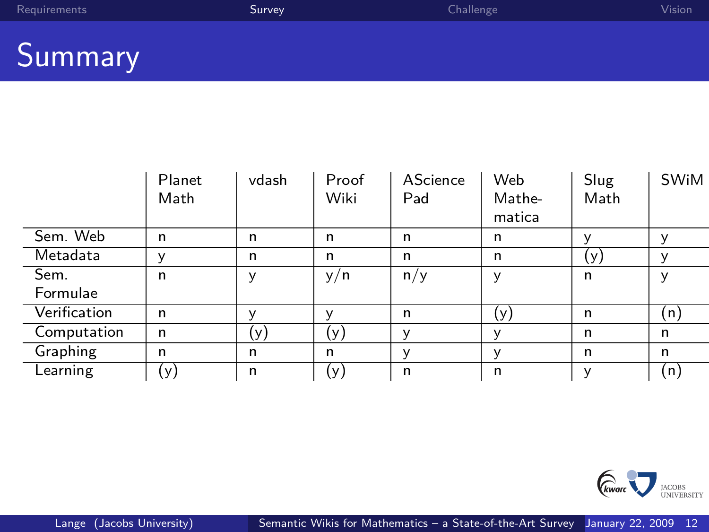# Summary

|              | Planet<br>Math | vdash | Proof<br>Wiki | AScience<br>Pad | Web<br>Mathe- | Slug<br>Math | <b>SWiM</b> |
|--------------|----------------|-------|---------------|-----------------|---------------|--------------|-------------|
|              |                |       |               |                 | matica        |              |             |
| Sem. Web     | n              | n     | n             | n               | n             | $\checkmark$ | v           |
| Metadata     |                | n     | n             | n               | n             | (y)          | ٧           |
| Sem.         | n              | v     | y/n           | n/y             | у             | n            | y           |
| Formulae     |                |       |               |                 |               |              |             |
| Verification | n              | v     | v             | n               | (y)           | n            | (n)         |
| Computation  | n              | (y)   | y)            | $\mathbf{v}$    | v             | n            | n           |
| Graphing     | n              | n     | n             | v               | v             | n            | n           |
| Learning     | (y)            | n     | (y)           | n               | n             | v            | (n)         |
|              |                |       |               |                 |               |              |             |

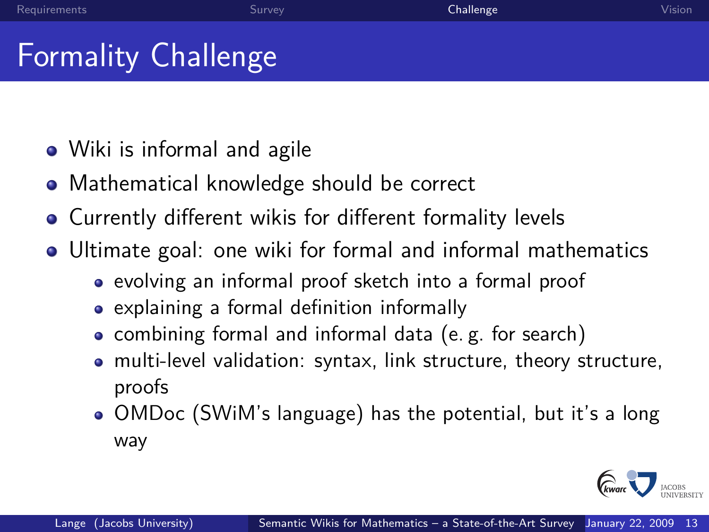# Formality Challenge

- Wiki is informal and agile
- Mathematical knowledge should be correct
- Currently different wikis for different formality levels
- Ultimate goal: one wiki for formal and informal mathematics
	- evolving an informal proof sketch into a formal proof
	- explaining a formal definition informally
	- combining formal and informal data (e.g. for search)
	- multi-level validation: syntax, link structure, theory structure, proofs
	- OMDoc (SWiM's language) has the potential, but it's a long way

<span id="page-12-0"></span>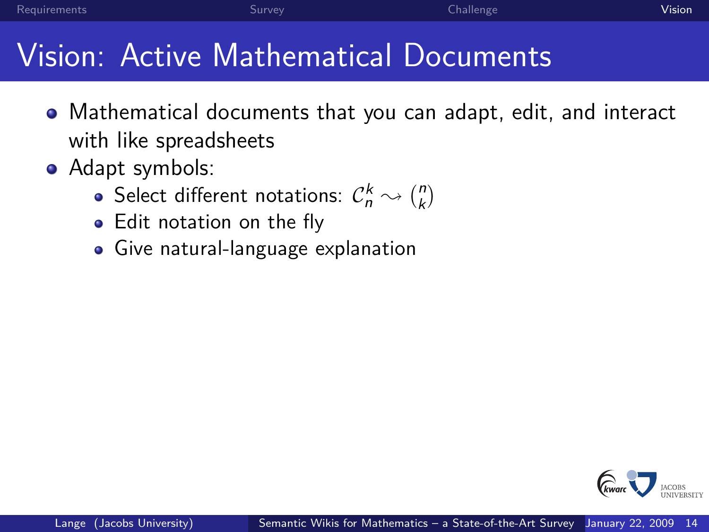## Vision: Active Mathematical Documents

- Mathematical documents that you can adapt, edit, and interact with like spreadsheets
- Adapt symbols:
	- Select different notations:  $C_n^k \leadsto \binom{n}{k}$  $\binom{n}{k}$
	- Edit notation on the fly
	- Give natural-language explanation

<span id="page-13-0"></span>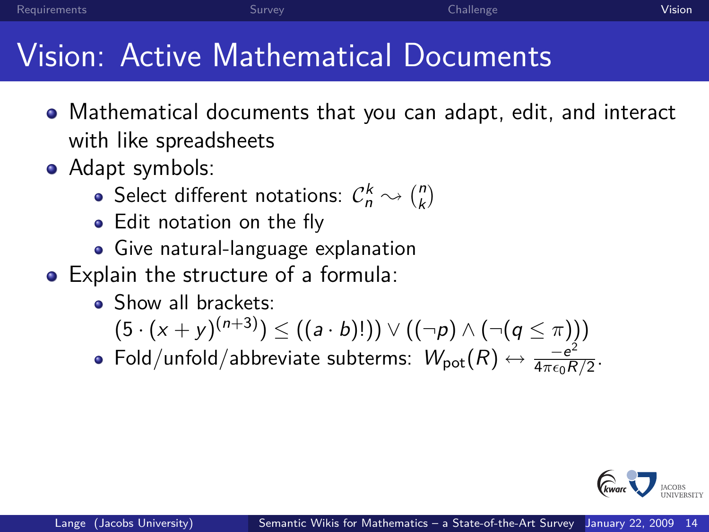## Vision: Active Mathematical Documents

- Mathematical documents that you can adapt, edit, and interact with like spreadsheets
- Adapt symbols:
	- Select different notations:  $C_n^k \leadsto \binom{n}{k}$  $\binom{n}{k}$
	- Edit notation on the fly
	- Give natural-language explanation
- Explain the structure of a formula:
	- Show all brackets:

 $(5\cdot(\varkappa+\varkappa)^{(n+3)})\leq\left((a\cdot b)!\right))\vee\left((\neg\rho)\wedge(\neg(q\leq\pi))\right)$ 

 $\mathsf{Fold} / \mathsf{unfold} / \mathsf{abbreviate}$  subterms:  $\mathsf{\mathcal{W}_{pot}}(R) \leftrightarrow \frac{-e^2}{4\pi\epsilon_0 R}$  $\frac{-e^2}{4\pi\epsilon_0 R/2}$ .

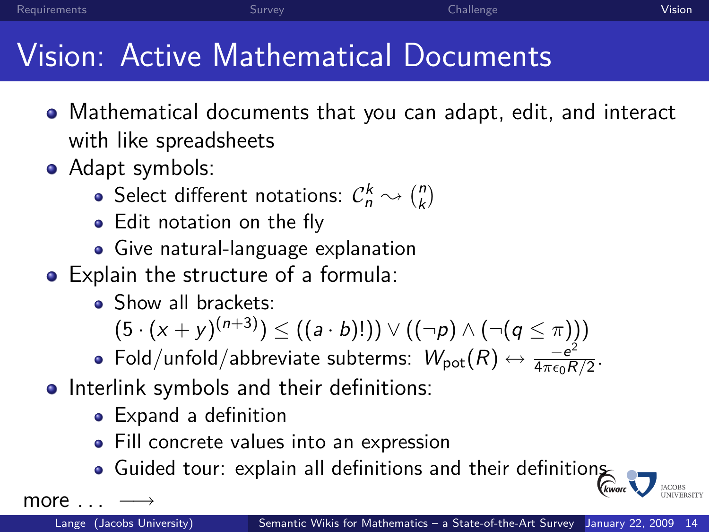## Vision: Active Mathematical Documents

- Mathematical documents that you can adapt, edit, and interact with like spreadsheets
- Adapt symbols:
	- Select different notations:  $C_n^k \leadsto \binom{n}{k}$  $\binom{n}{k}$
	- Edit notation on the fly
	- Give natural-language explanation
- Explain the structure of a formula:
	- Show all brackets:

 $(5\cdot(\varkappa+\varkappa)^{(n+3)})\leq\left((a\cdot b)!\right))\vee\left((\neg\rho)\wedge(\neg(q\leq\pi))\right)$ 

- $\mathsf{Fold} / \mathsf{unfold} / \mathsf{abbreviate}$  subterms:  $\mathsf{\mathcal{W}_{pot}}(R) \leftrightarrow \frac{-e^2}{4\pi\epsilon_0 R}$  $\frac{-e^2}{4\pi\epsilon_0 R/2}$ .
- Interlink symbols and their definitions:
	- Expand a definition
	- Fill concrete values into an expression
	- **Guided tour: explain all definitio[ns](http://kwarc.info) and their definitions**

more.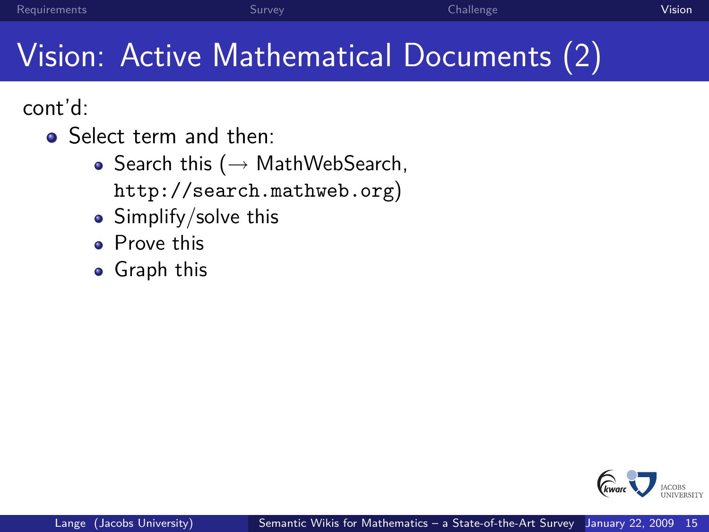# Vision: Active Mathematical Documents (2)

cont'd:

- Select term and then:
	- Search this  $(\rightarrow \text{MathWebSearch},$ <http://search.mathweb.org>)
	- Simplify/solve this
	- Prove this
	- Graph this

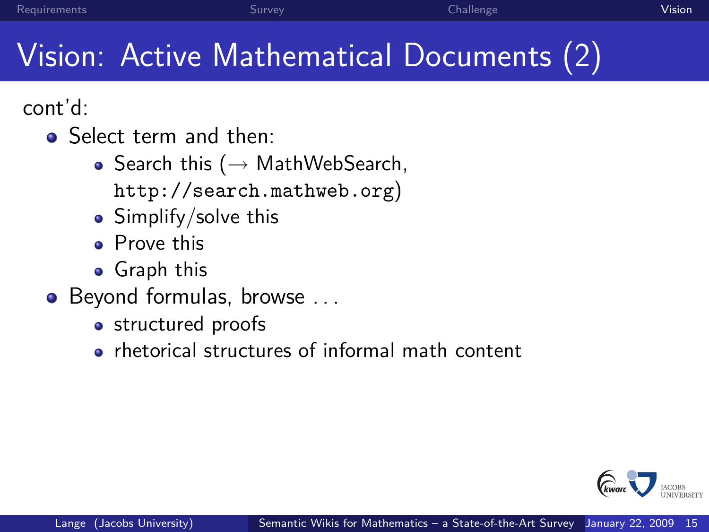# Vision: Active Mathematical Documents (2)

cont'd:

- Select term and then:
	- Search this ( $\rightarrow$  MathWebSearch, <http://search.mathweb.org>)
	- Simplify/solve this
	- Prove this
	- Graph this
- Beyond formulas, browse ...
	- structured proofs
	- rhetorical structures of informal math content